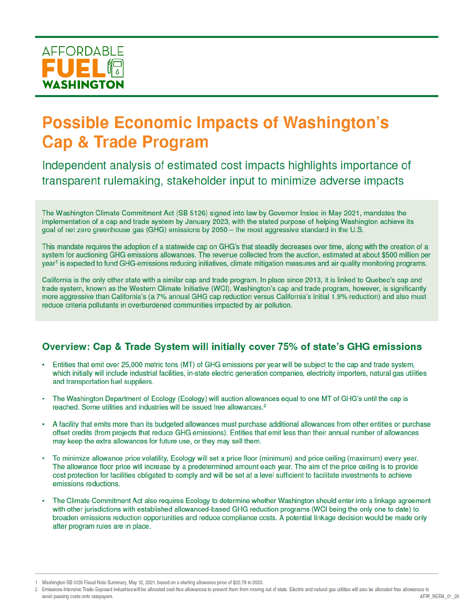

# **Possible Economic Impacts of Washington's Cap & Trade Program**

Independent analysis of estimated cost impacts highlights importance of transparent rulemaking, stakeholder input to minimize adverse impacts

The Washington Climate Commitment Act (SB 5126) signed into law by Governor Inslee in May 2021, mandates the implementation of a cap and trade system by January 2023, with the stated purpose of helping Washington achieve its goal of net zero greenhouse gas (GHG) emissions by 2050 - the most aggressive standard in the U.S.

This mandate requires the adoption of a statewide cap on GHG's that steadily decreases over time, along with the creation of a system for auctioning GHG emissions allowances. The revenue collected from the auction, estimated at about \$500 million per year<sup>1</sup> is expected to fund GHG-emissions reducing initiatives, climate mitigation measures and air quality monitoring programs.

California is the only other state with a similar cap and trade program. In place since 2013, it is linked to Quebec's cap and trade system, known as the Western Climate Initiative (WCI). Washington's cap and trade program, however, is significantly more aggressive than California's (a 7% annual GHG cap reduction versus California's initial 1.9% reduction) and also must reduce criteria pollutants in overburdened communities impacted by air pollution.

# Overview: Cap & Trade System will initially cover 75% of state's GHG emissions

- Entities that emit over 25,000 metric tons (MT) of GHG emissions per year will be subject to the cap and trade system, which initially will include industrial facilities, in-state electric generation companies, electricity importers, natural gas utilities and transportation fuel suppliers.
- The Washington Department of Ecology (Ecology) will auction allowances equal to one MT of GHG's until the cap is reached. Some utilities and industries will be issued free allowances.<sup>2</sup>
- A facility that emits more than its budgeted allowances must purchase additional allowances from other entities or purchase offset credits (from projects that reduce GHG emissions). Entities that emit less than their annual number of allowances may keep the extra allowances for future use, or they may sell them.
- To minimize allowance price volatility, Ecology will set a price floor (minimum) and price ceiling (maximum) every year. The allowance floor price will increase by a predetermined amount each year. The aim of the price ceiling is to provide cost protection for facilities obligated to comply and will be set at a level sufficient to facilitate investments to achieve emissions reductions.
- The Climate Commitment Act also requires Ecology to determine whether Washington should enter into a linkage agreement with other jurisdictions with established allowanced-based GHG reduction programs (WCI being the only one to date) to broaden emissions reduction opportunities and reduce compliance costs. A potential linkage decision would be made only after program rules are in place.

<sup>1</sup> Washington SB 5126 Fiscal Note Summary, May 12, 2021, based on a starting allowance price of \$22.78 in 2023.

<sup>2</sup> Emissions-Intensive Trade-Exposed industries will be allocated cost-free allowances to prevent them from moving out of state. Electric and natural gas utilities will also be allocated free allowances to AFW NERA 01 25 avoid passing costs onto ratepayers.